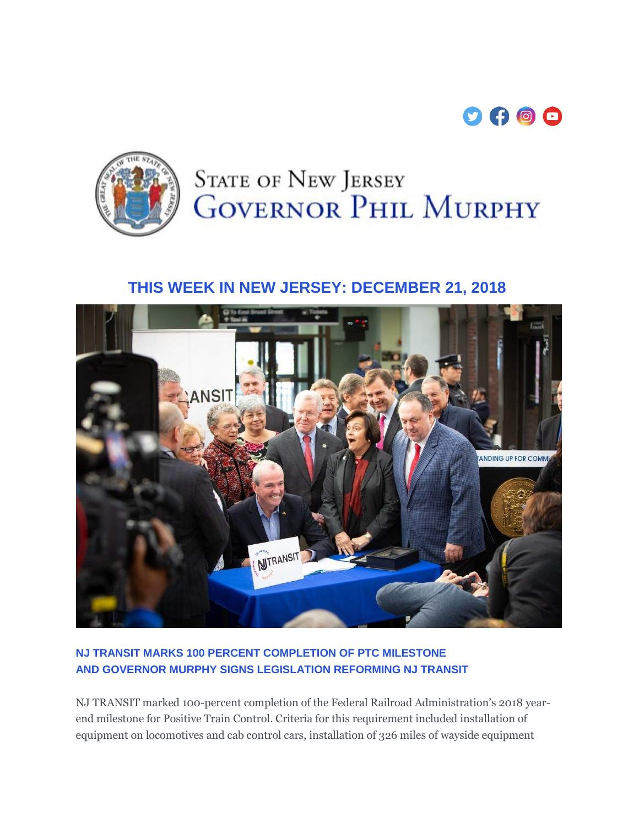



# **STATE OF NEW JERSEY GOVERNOR PHIL MURPHY**

## **THIS WEEK IN NEW JERSEY: DECEMBER 21, 2018**



#### **NJ TRANSIT MARKS 100 PERCENT COMPLETION OF PTC MILESTONE AND GOVERNOR MURPHY SIGNS LEGISLATION REFORMING NJ TRANSIT**

NJ TRANSIT marked 100-percent completion of the Federal Railroad Administration's 2018 yearend milestone for Positive Train Control. Criteria for this requirement included installation of equipment on locomotives and cab control cars, installation of 326 miles of wayside equipment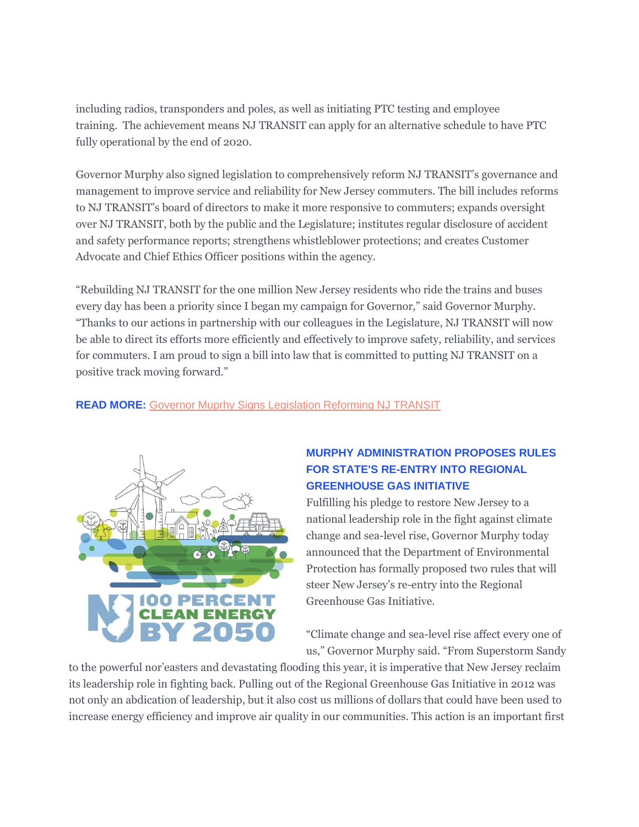including radios, transponders and poles, as well as initiating PTC testing and employee training. The achievement means NJ TRANSIT can apply for an alternative schedule to have PTC fully operational by the end of 2020.

Governor Murphy also signed legislation to comprehensively reform NJ TRANSIT's governance and management to improve service and reliability for New Jersey commuters. The bill includes reforms to NJ TRANSIT's board of directors to make it more responsive to commuters; expands oversight over NJ TRANSIT, both by the public and the Legislature; institutes regular disclosure of accident and safety performance reports; strengthens whistleblower protections; and creates Customer Advocate and Chief Ethics Officer positions within the agency.

"Rebuilding NJ TRANSIT for the one million New Jersey residents who ride the trains and buses every day has been a priority since I began my campaign for Governor," said Governor Murphy. "Thanks to our actions in partnership with our colleagues in the Legislature, NJ TRANSIT will now be able to direct its efforts more efficiently and effectively to improve safety, reliability, and services for commuters. I am proud to sign a bill into law that is committed to putting NJ TRANSIT on a positive track moving forward."

**READ MORE:** [Governor Muprhy Signs Legislation Reforming NJ TRANSIT](https://urldefense.proofpoint.com/v2/url?u=https-3A__t.e2ma.net_click_7mje2_nrddit_fdlbcg&d=DwMFaQ&c=4BTEw-1msHjOY4ITcFLmDM6JB8x6ZgbU2J24IH0HZLU&r=xF3DPDNEH8rwpTwktOjb4MHQ0EgF6v3M0zt3hszQvyU&m=V2_vD_sVzQU6JaJZoSK5o53nMG56uWCHmgHq0vyqFos&s=G1A5TdJomRQ3y2nBXsSz0EDJSjIrmDJPAVcZLZwgqFg&e=)



#### **MURPHY ADMINISTRATION PROPOSES RULES FOR STATE'S RE-ENTRY INTO REGIONAL GREENHOUSE GAS INITIATIVE**

Fulfilling his pledge to restore New Jersey to a national leadership role in the fight against climate change and sea-level rise, Governor Murphy today announced that the Department of Environmental Protection has formally proposed two rules that will steer New Jersey's re-entry into the Regional Greenhouse Gas Initiative.

"Climate change and sea-level rise affect every one of us," Governor Murphy said. "From Superstorm Sandy

to the powerful nor'easters and devastating flooding this year, it is imperative that New Jersey reclaim its leadership role in fighting back. Pulling out of the Regional Greenhouse Gas Initiative in 2012 was not only an abdication of leadership, but it also cost us millions of dollars that could have been used to increase energy efficiency and improve air quality in our communities. This action is an important first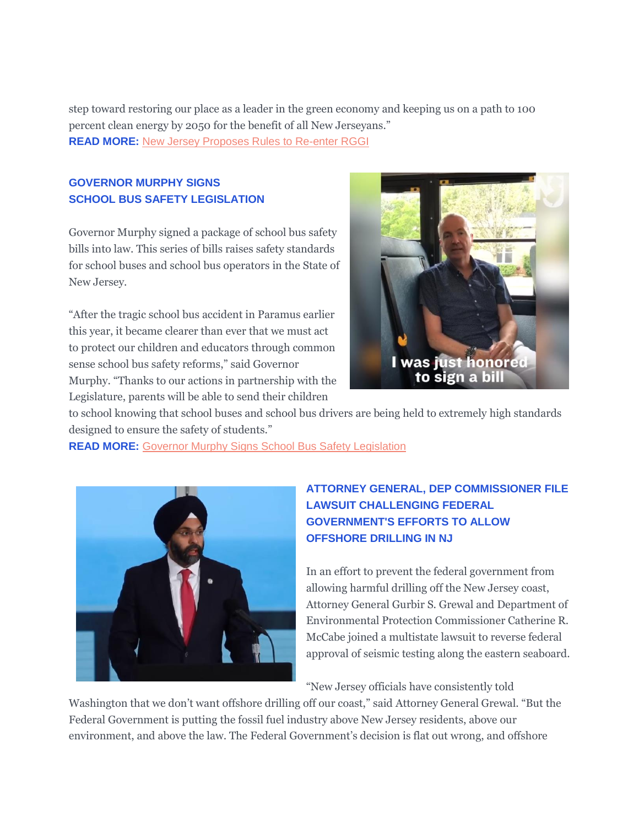step toward restoring our place as a leader in the green economy and keeping us on a path to 100 percent clean energy by 2050 for the benefit of all New Jerseyans." **READ MORE:** [New Jersey Proposes Rules to Re-enter RGGI](https://urldefense.proofpoint.com/v2/url?u=https-3A__t.e2ma.net_click_7mje2_nrddit_v5lbcg&d=DwMFaQ&c=4BTEw-1msHjOY4ITcFLmDM6JB8x6ZgbU2J24IH0HZLU&r=xF3DPDNEH8rwpTwktOjb4MHQ0EgF6v3M0zt3hszQvyU&m=V2_vD_sVzQU6JaJZoSK5o53nMG56uWCHmgHq0vyqFos&s=I9XpU0spuh7XxkHcDuW2svGJnuD_MMhGRZofcmR_W_A&e=)

#### **GOVERNOR MURPHY SIGNS SCHOOL BUS SAFETY LEGISLATION**

Governor Murphy signed a package of school bus safety bills into law. This series of bills raises safety standards for school buses and school bus operators in the State of New Jersey.

"After the tragic school bus accident in Paramus earlier this year, it became clearer than ever that we must act to protect our children and educators through common sense school bus safety reforms," said Governor Murphy. "Thanks to our actions in partnership with the Legislature, parents will be able to send their children



to school knowing that school buses and school bus drivers are being held to extremely high standards designed to ensure the safety of students."

**READ MORE:** [Governor Murphy Signs School Bus Safety Legislation](https://urldefense.proofpoint.com/v2/url?u=https-3A__t.e2ma.net_click_7mje2_nrddit_bymbcg&d=DwMFaQ&c=4BTEw-1msHjOY4ITcFLmDM6JB8x6ZgbU2J24IH0HZLU&r=xF3DPDNEH8rwpTwktOjb4MHQ0EgF6v3M0zt3hszQvyU&m=V2_vD_sVzQU6JaJZoSK5o53nMG56uWCHmgHq0vyqFos&s=AQVhHOwrgZ9gFAEI6OFNkeOJxndSyjptUgXHn61jJAY&e=)



### **ATTORNEY GENERAL, DEP COMMISSIONER FILE LAWSUIT CHALLENGING FEDERAL GOVERNMENT'S EFFORTS TO ALLOW OFFSHORE DRILLING IN NJ**

In an effort to prevent the federal government from allowing harmful drilling off the New Jersey coast, Attorney General Gurbir S. Grewal and Department of Environmental Protection Commissioner Catherine R. McCabe joined a multistate lawsuit to reverse federal approval of seismic testing along the eastern seaboard.

"New Jersey officials have consistently told

Washington that we don't want offshore drilling off our coast," said Attorney General Grewal. "But the Federal Government is putting the fossil fuel industry above New Jersey residents, above our environment, and above the law. The Federal Government's decision is flat out wrong, and offshore